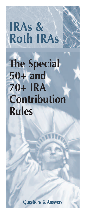# **IRAs & Roth IRAs**

# **The Special 50+ and 70+ IRA Contribution Rules**

**Questions & Answers**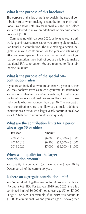#### **What is the purpose of this brochure?**

The purpose of this brochure is to explain the special contribution rules when making a contribution to their traditional IRA and/or Roth IRA for individuals age 50 or older. You are allowed to make an additional or catch-up contribution of \$1,000.

 Commencing with tax year 2020, as long as you are still working and have compensation you are eligible to make a traditional IRA contribution. The rule making a person ineligible to make a contribution for the year one attains age  $70\frac{1}{2}$  has been repealed. If you are married and one of you has compensation, then both of you are eligible to make a traditional IRA contribution. You are required to file a joint income tax return.

#### **What is the purpose of the special 50+ contribution rules?**

If you are an individual who are at least 50 years old, then you may not have saved as much as you want for retirement. You are now eligible, in certain situations, to make larger contributions to a traditional IRA and/or Roth IRA than those individuals who are younger than age 50. The concept of these contribution rules is to allow you to make additional contributions. Obviously, a larger yearly contribution allows your IRA balance to accumulate more quickly.

#### **What are the contribution limits for a person who is age 50 or older?**

| Tax Year  | <b>Amount</b> |                     |
|-----------|---------------|---------------------|
| 2008-2012 | \$6,000       | $($5,000 + $1,000)$ |
| 2013-2018 | \$6,500       | $($5,500 + $1,000)$ |
| 2019-2020 | \$7.000       | $($6,000 + $1,000)$ |

#### **When will I qualify for the larger contribution amount?**

You qualify if you attain (or have attained) age 50 by December 31 of the current tax year.

#### **Is there an aggregate contribution limit?**

Yes. You must add together any contributions to a traditional IRA and a Roth IRA. For tax year 2019 and 2020, there is a combined limit of \$6,000 (if not at least age 50) or \$7,000 (if age 50 or over). For example, if, in 2019, you contribute \$1,000 to a traditional IRA and you are age 50 or over, then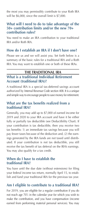the most you may permissibly contribute to your Roth IRA will be \$6,000, since the overall limit is \$7,000.

#### **What will I need to do to take advantage of the 50+ contribution limits and/or the new 70+ contribution rules?**

You need to make an IRA contribution to your traditional IRA and/or Roth IRA.

#### **How do I establish an IRA if I don't have one?**

Please see us and we will assist you. Set forth below is a summary of the basic rules for a traditional IRA and a Roth IRA. You may want to establish one or both of these IRAs.

#### **THE TRADITIONAL IRA**

#### **What is a traditional Individual Retirement Account (traditional IRA)?**

A traditional IRA is a special tax-deferred savings account authorized by Internal Revenue Code section 408. It is a unique and simple way to encourage people to save money for retirement.

#### **What are the tax benefits realized from a traditional IRA?**

Generally, you may add up to \$7,000 of earned income for 2019 and 2020 to your IRA account and have it be either fully or partially tax deductible (see Deductibility Chart). If your contribution is tax deductible, then you receive two tax benefits: 1) an immediate tax savings because you will pay fewer taxes because of the deduction and, (2) the earnings generated by the IRA funds are not taxed until distributed. If your contribution is not tax deductible, you still receive the tax benefit of tax deferral on the IRA's earnings. You may also qualify for a tax credit.

#### **When do I have to establish the traditional IRA?**

You have until the due date (without extensions) for filing your federal income tax return, normally April 15, to establish and fund your traditional IRA for the previous tax year.

#### **Am I eligible to contribute to a traditional IRA?**

For 2019, you are eligible for a regular contribution if you do not reach age 70<sup>1</sup>/<sub>2</sub> in the calendar year for which you wish to make the contribution, and you have compensation (income earned from performing material personal services). You may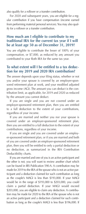also qualify for a rollover or a transfer contribution.

 For 2020 and subsequent years, you are eligible for a regular contribution if you have compensation (income earned from performing material personal services).You may also qualify for a rollover or a transfer contribution.

#### **How much am I eligible to contribute to my traditional IRA for the current tax year if I will be at least age 50 as of December 31, 2019?**

You are eligible to contribute the lesser of 100% of your compensation, or \$7,000, as reduced by any amount you contributed to your Roth IRA for the same tax year.

#### **To what extent will I be entitled to a tax deduction for my 2019 and 2020 IRA contribution?**

The answer depends upon your filing status, whether or not you and/or your spouse is covered by an employer-sponsored retirement plan at work, and your modified adjusted gross income (AGI). The amount you can deduct is the contribution limit, as applicable, for 2019 and 2020 as reduced by the amount you cannot deduct.

 If you are single and you are not covered under an employer-sponsored retirement plan, then you are entitled to a full deduction to the extent of your contributions, regardless of your income.

 If you are married and neither you nor your spouse is covered under an employer-sponsored retirement plan, then you are entitled to a full deduction to the extent of your contributions, regardless of your income.

 If you are single and you are covered under an employer-sponsored retirement plan, or if you are married and both of you are covered under an employer-sponsored retirement plan, then you will be entitled to only a partial deduction or no deduction, as summarized in the IRA Contribution Deductibility charts.

 If you are married and one of you is an active participant and the other is not, you will want to review another chart which can be found in IRS Publication 590-A. A contribution may be made for 2019 to the IRA of the spouse who is not an active participant and a deduction claimed for such contribution as long as the couple's MAGI is less than \$193,000. If your MAGI would be in the range of \$193,000 to \$203,000, you could claim a partial deduction. If your MAGI would exceed \$203,000, you are eligible to claim any deduction. A contribution may be made for 2020 to the IRA of the spouse who is not an active participant and a deduction claimed for such contribution as long as the couple's MAGI is less than \$196,000. If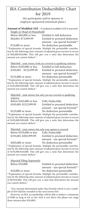# IRA Contribution Deductibility Chart for 2019

(for participants and/or spouses in employer-sponsored retirement plans.)

**Amount of Modified AGI** - (Combined modified AGI if married) Single or Head of Household

 Below \$64,000 or less Entitled to full deduction \$64,001-\$73,999.99 Entitled to prorated deduction amount - use special formula\*\* \$74,000 or more No deduction permissible

\*\*Explanation of special formula. Multiply the permissible contribution by the following ratio: amount of adjusted gross income in excess of \$64,000/\$10,000. This will give you a ratio that determines the amount you cannot deduct.\*

|                          | Married - joint return, both are covered or qualifying widower |
|--------------------------|----------------------------------------------------------------|
| Below \$103,000 or less  | Entitled to full deduction                                     |
| \$103,001 - \$122,999.99 | Entitled to prorated deduction                                 |
|                          | amount - use special formula**                                 |

#### \$123,000 or more No deduction permissible

\*\*Explanation of special formula. Multiply the permissible contribution by the following ratio: amount of adjusted gross income in excess of \$103,000/\$20,000. This will give you a ratio that determines the amount you cannot deduct.\*

Married - joint return, but only you are covered or qualifying widower

Below \$102,000 or less Fully Deductible

 \$103,001-\$122,999.99 Entitled to prorated deduction amount - use special formula\*\* \$123,000 or more No deduction permissible

\*\*Explanation of special formula. Multiply the permissible contribution by the following ratio: amount of adjusted gross income in excess of \$103,000/\$20,000. This will give you a ratio that determines the amount you cannot deduct.\*

Married - joint return, but only your spouse is covered

| Below \$193,000 or less | <b>Fully Deductible</b>        |
|-------------------------|--------------------------------|
| \$193,001-\$202,999.99  | Entitled to prorated deduction |
|                         | amount - use special formula** |
| $$203.000$ or more      | No deduction permissible       |

3,000 or more No deduction permiss \*\*Explanation of special formula. Multiply the permissible contribution by the following ratio: amount of adjusted gross income in excess of \$193,000/\$10,000. This will give you a ratio that determines the amount you cannot deduct.\*

| <b>Married Filing Separately</b> |  |
|----------------------------------|--|
| Below \$10,000                   |  |

Entitled to prorated deduction amount - use special formula\*\* \$10,000 or more No deduction permissible

\*\*Explanation of special formula. Multiply the permissible contribution by the following ratio: amount of adjusted gross income in excess of \$0/\$10,000. This will give you a ratio that determines the amount you cannot deduct.\*

 \*Any amount determined under this formula which is not a multiple of \$10 shall be rounded to the next lowest \$10.

 However, an IRA accountholder will be able to deduct a minimum of \$200 as long as his or her AGI is not above the phase-out range (base amount plus \$10,000).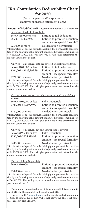# **IRA Contribution Deductibility Chart for 2020**

(for participants and/or spouses in employer-sponsored retirement plans.)

**Amount of Modified AGI** - (Combined modified AGI if married) Single or Head of Household

 Below \$65,000 or less Entitled to full deduction \$65,001-\$74,999.99 Entitled to prorated deduction amount - use special formula\*\* \$75,000 or more No deduction permissible

\*\*Explanation of special formula. Multiply the permissible contribution by the following ratio: amount of adjusted gross income in excess of \$65,000/\$10,000. This will give you a ratio that determines the amount you cannot deduct.\*

|                          | Married - joint return, both are covered or qualifying widower |
|--------------------------|----------------------------------------------------------------|
| Below \$104,000 or less  | Entitled to full deduction                                     |
| \$104,001 - \$123,999.99 | Entitled to prorated deduction                                 |
|                          | amount - use special formula**                                 |
| \$124,000 or more        | No deduction permissible                                       |

\*\*Explanation of special formula. Multiply the permissible contribution by the following ratio: amount of adjusted gross income in excess of \$104,000/\$20,000. This will give you a ratio that determines the amount you cannot deduct.\*

Married - joint return, but only you are covered or qualifying widower Below \$104,000 or less Fully Deductible

 \$104,001-\$123,999.99 Entitled to prorated deduction amount - use special formula\*\* \$124,000 or more No deduction permissible

\*\*Explanation of special formula. Multiply the permissible contribution by the following ratio: amount of adjusted gross income in excess of \$104,000/\$20,000. This will give you a ratio that determines the amount you cannot deduct.\*

| Married - joint return, but only your spouse is covered |                                |
|---------------------------------------------------------|--------------------------------|
| Below \$196,000 or less                                 | <b>Fully Deductible</b>        |
| \$196,001-\$205,999.99                                  | Entitled to prorated deduction |
|                                                         | amount - use special formula** |

\$206,000 or more No deduction permissible \*\*Explanation of special formula. Multiply the permissible contribution by the following ratio: amount of adjusted gross income in excess of \$196,000/\$10,000. This will give you a ratio that determines the amount you cannot deduct.\*

| <b>Married Filing Separately</b> |
|----------------------------------|
| Below \$10,000                   |

Entitled to prorated deduction amount - use special formula\*\* \$10,000 or more No deduction permissible

\*\*Explanation of special formula. Multiply the permissible contribution by the following ratio: amount of adjusted gross income in excess of \$0/\$10,000. This will give you a ratio that determines the amount you cannot deduct.\*

 \*Any amount determined under this formula which is not a multiple of \$10 shall be rounded to the next lowest \$10.

 However, an IRA accountholder will be able to deduct a minimum of \$200 as long as his or her AGI is not above the phase-out range (base amount plus \$10,000).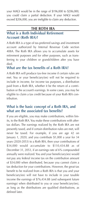your MAGI would be in the range of \$196,000 to \$206,000, you could claim a partial deduction. If your MAGI would exceed \$206,000, you are ineligible to claim any deduction.

#### **THE ROTH IRA**

#### **What is a Roth Individual Retirement Account (Roth IRA)?**

A Roth IRA is a type of tax-preferred savings and investment account authorized by Internal Revenue Code section 408A. The Roth IRA allows you to accumulate assets for retirement purposes and for other purposes, such as transferring to your children or grandchildren after you have died.

### **What are the tax benefits of a Roth IRA?**

A Roth IRA will produce tax-free income if certain rules are met. You or your beneficiary(ies) will not be required to include in income, for income tax purposes, a distribution paid from a Roth IRA, whether it be the return of a contribution or the account's earnings. In some cases, you may be eligible to claim a tax credit because of your Roth IRA contribution.

#### **What is the basic concept of a Roth IRA, and what are the associated tax benefits?**

If you are eligible, you may make contributions, within limits, to the Roth IRA. You make these contributions with aftertax dollars. The earnings realized by the Roth IRA are not presently taxed, and if certain distribution rules are met, will never be taxed. For example, if you are age 42 on January 1, 2020, and you contribute \$1,000 a year for 34 years (2020-2053) to a Roth IRA, then your contributions of \$34,000 would accumulate to \$110,434.88 as of December 31, 2053, if an earnings rate of 6% compounded annually were realized. You and your beneficiary(ies) would not pay any federal income tax on the contribution amount of \$34,000 when distributed, because you cannot claim a tax deduction for your contributions. However, the great tax benefit to be realized from a Roth IRA is that you and your beneficiary(ies) will not have to include in your taxable income the earnings of \$76,434.88 (and subsequent future earnings) when distributed to you or your beneficiary(ies), as long as the distributions are qualified distributions, as defined later.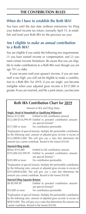# **THE CONTRIBUTION RULES**

## **When do I have to establish the Roth IRA?**

You have until the due date (without extensions) for filing your federal income tax return, normally April 15, to establish and fund your Roth IRA for the previous tax year.

#### **Am I eligible to make an annual contribution to a Roth IRA?**

You are eligible if you satisfy the following two requirements: (1) you have earned income or compensation; and (2) you meet certain income limitations. Be aware that you are eligible to make contributions to a Roth IRA even though you are age  $70\frac{1}{2}$  or older.

 If your income (and your spouse's income, if you are married) is too high, you will not be eligible to make a contribution to a Roth IRA. For 2019, if you are single, you become ineligible when your adjusted gross income is \$137,000 or greater. If you are married, and file a joint return, you become

| <b>Roth IRA Contribution Chart for 2019</b>       |                                                                                                                |  |
|---------------------------------------------------|----------------------------------------------------------------------------------------------------------------|--|
| Amount of AGI and Filing Status                   |                                                                                                                |  |
| Single, Head of Household or Qualifying Widow(er) |                                                                                                                |  |
|                                                   | Below \$122,000 Entitled to full contribution amount                                                           |  |
|                                                   | \$122,000-\$136,999.99 Entitled to prorated contribution amount-<br>use special formula*                       |  |
|                                                   | \$137,000 or more No contribution permissible                                                                  |  |
|                                                   | ⊕Essailes est est est d'accession d'accession à la Austria de la compete de la compete de la compete de la com |  |

\*Explanation of special formula. Multiply the permissible contribution by the following ratio: amount of adjusted gross income in excess of \$122,000/\$15,000. This will give you a ratio that determines the amount you cannot contribute. Round to the lowest \$10.00.

#### **Married Filing Jointly**

| Below \$193,000      | Entitled to full contribution amount.     |
|----------------------|-------------------------------------------|
| \$193,000-202,999.99 | Entitled to prorated contribution amount- |
|                      | use special formula.*                     |
| \$203,000 or more    | No contribution permissible.              |

\*Explanation of special formula. Multiply the permissible contribution by the following ratio: amount of adjusted gross income in excess of \$193,000/\$10,000. This will give you a ratio that determines the amount you cannot contribute. Round to the lowest \$10.00.

#### **Married Filing Separate Returns**

| \$0-\$9,999.99   | Entitled to prorated contribution amount- |
|------------------|-------------------------------------------|
|                  | use special formula*                      |
| \$10,000 or more | No contribution permissible               |

\*Explanation of special formula. Multiply the permissible contribution by the following ratio: amount of adjusted gross income in excess of \$0/\$10,000. This will give you a ratio that determines the amount you cannot contribute. Round to the lowest \$10.00.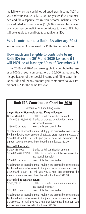ineligible when the combined adjusted gross income (AGI) of you and your spouse is \$203,000 or greater. If you are married and file a separate return, you become ineligible when your adjusted gross income is \$10,000 or greater. For a given year, you may be ineligible to contribute to a Roth IRA, but still be eligible to contribute to a traditional IRA .

#### **May I contribute to a Roth IRA after age 70<sup>1</sup> ⁄2?**

Yes, no age limit is imposed for Roth IRA contributions.

#### **How much am I eligible to contribute to my Roth IRA for the 2019 and 2020 tax years if I will NOT be at least age 50 as of December 31?**

 For 2019 and 2020 you are eligible to contribute the lesser of 100% of your compensation, or \$6,000, as reduced by (1) application of the special income and filing status limitation rule and (2) any amount you contributed to your traditional IRA for the same tax year.

### **Roth IRA Contribution Chart for 2020**

Amount of AGI and Filing Status

| Single, Head of Household or Qualifying Widow(er) |                                                                   |  |
|---------------------------------------------------|-------------------------------------------------------------------|--|
| Below \$124,000                                   | Entitled to full contribution amount                              |  |
|                                                   | \$124,000-\$138,999.99 Entitled to prorated contribution amount - |  |
|                                                   | use special formula*                                              |  |

\$139,000 or more No contribution permissible

\*Explanation of special formula. Multiply the permissible contribution by the following ratio: amount of adjusted gross income in excess of \$124,000/\$15,000. This will give you a ratio that determines the amount you cannot contribute. Round to the lowest \$10.00.

#### **Married Filing Jointly**

| Below \$196,000      | Entitled to full contribution amount.      |
|----------------------|--------------------------------------------|
| \$196,000-205,999.99 | Entitled to prorated contribution amount - |
|                      | use special formula*                       |
| \$206,000 or more    | No contribution permissible.               |

\*Explanation of special formula. Multiply the permissible contribution by the following ratio: amount of adjusted gross income in excess of \$196,000/\$10,000. This will give you a ratio that determines the amount you cannot contribute. Round to the lowest \$10.00.

#### **Married Filing Separate Returns**

| \$0-\$9,999.99   | Entitled to prorated contribution amount - |
|------------------|--------------------------------------------|
|                  | use special formula*                       |
| \$10,000 or more | No contribution permissible                |

\*Explanation of special formula. Multiply the permissible contribution by the following ratio: amount of adjusted gross income in excess of \$0/\$10,000. This will give you a ratio that determines the amount you cannot contribute. Round to the lowest \$10.00.